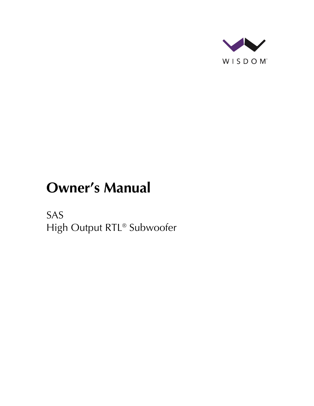

# **Owner's Manual**

SAS High Output RTL® Subwoofer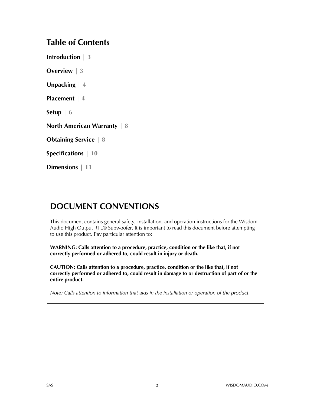### **Table of Contents**

**Introduction | 3**

**Overview | 3**

**Unpacking | 4**

**Placement | 4**

**Setup | 6**

**North American Warranty | 8**

**Obtaining Service | 8**

**Specifications | 10**

**Dimensions | 11**

### **DOCUMENT CONVENTIONS**

This document contains general safety, installation, and operation instructions for the Wisdom Audio High Output RTL® Subwoofer. It is important to read this document before attempting to use this product. Pay particular attention to:

**WARNING: Calls attention to a procedure, practice, condition or the like that, if not correctly performed or adhered to, could result in injury or death.** 

**CAUTION: Calls attention to a procedure, practice, condition or the like that, if not correctly performed or adhered to, could result in damage to or destruction of part of or the entire product.** 

*Note: Calls attention to information that aids in the installation or operation of the product.*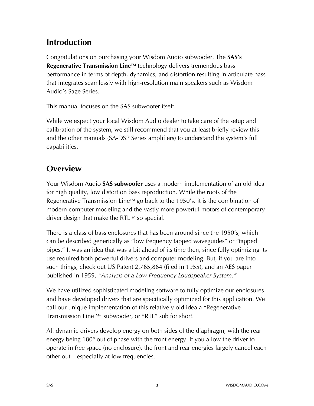## **Introduction**

Congratulations on purchasing your Wisdom Audio subwoofer. The **SAS's Regenerative Transmission Line™** technology delivers tremendous bass performance in terms of depth, dynamics, and distortion resulting in articulate bass that integrates seamlessly with high-resolution main speakers such as Wisdom Audio's Sage Series.

This manual focuses on the SAS subwoofer itself.

While we expect your local Wisdom Audio dealer to take care of the setup and calibration of the system, we still recommend that you at least briefly review this and the other manuals (SA-DSP Series amplifiers) to understand the system's full capabilities.

### **Overview**

Your Wisdom Audio **SAS subwoofer** uses a modern implementation of an old idea for high quality, low distortion bass reproduction. While the roots of the Regenerative Transmission Line<sup>TM</sup> go back to the 1950's, it is the combination of modern computer modeling and the vastly more powerful motors of contemporary driver design that make the RTL™ so special.

There is a class of bass enclosures that has been around since the 1950's, which can be described generically as "low frequency tapped waveguides" or "tapped pipes." It was an idea that was a bit ahead of its time then, since fully optimizing its use required both powerful drivers and computer modeling. But, if you are into such things, check out US Patent 2,765,864 (filed in 1955), and an AES paper published in 1959, *"Analysis of a Low Frequency Loudspeaker System."*

We have utilized sophisticated modeling software to fully optimize our enclosures and have developed drivers that are specifically optimized for this application. We call our unique implementation of this relatively old idea a "Regenerative Transmission LineTM" subwoofer, or "RTL" sub for short.

All dynamic drivers develop energy on both sides of the diaphragm, with the rear energy being 180° out of phase with the front energy. If you allow the driver to operate in free space (no enclosure), the front and rear energies largely cancel each other out – especially at low frequencies.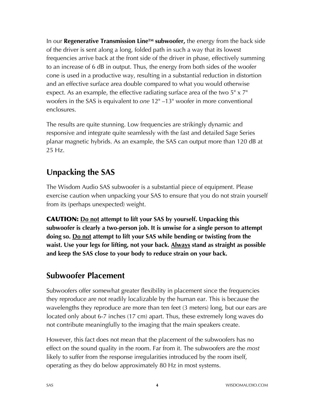In our **Regenerative Transmission LineTM subwoofer,** the energy from the back side of the driver is sent along a long, folded path in such a way that its lowest frequencies arrive back at the front side of the driver in phase, effectively summing to an increase of 6 dB in output. Thus, the energy from both sides of the woofer cone is used in a productive way, resulting in a substantial reduction in distortion and an effective surface area double compared to what you would otherwise expect. As an example, the effective radiating surface area of the two  $5" \times 7"$ woofers in the SAS is equivalent to *one* 12" –13" woofer in more conventional enclosures.

The results are quite stunning. Low frequencies are strikingly dynamic and responsive and integrate quite seamlessly with the fast and detailed Sage Series planar magnetic hybrids. As an example, the SAS can output more than 120 dB at 25 Hz.

## **Unpacking the SAS**

The Wisdom Audio SAS subwoofer is a substantial piece of equipment. Please exercise caution when unpacking your SAS to ensure that you do not strain yourself from its (perhaps unexpected) weight.

CAUTION: **Do not attempt to lift your SAS by yourself. Unpacking this subwoofer is clearly a two-person job. It is unwise for a single person to attempt doing so. Do not attempt to lift your SAS while bending or twisting from the waist. Use your legs for lifting, not your back. Always stand as straight as possible and keep the SAS close to your body to reduce strain on your back.** 

### **Subwoofer Placement**

Subwoofers offer somewhat greater flexibility in placement since the frequencies they reproduce are not readily localizable by the human ear. This is because the wavelengths they reproduce are more than ten feet (3 meters) long, but our ears are located only about 6-7 inches (17 cm) apart. Thus, these extremely long waves do not contribute meaningfully to the imaging that the main speakers create.

However, this fact does not mean that the placement of the subwoofers has no effect on the sound quality in the room. Far from it. The subwoofers are the *most*  likely to suffer from the response irregularities introduced by the room itself, operating as they do below approximately 80 Hz in most systems.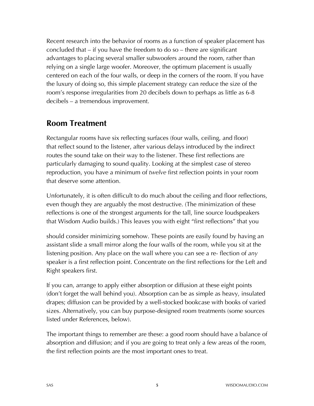Recent research into the behavior of rooms as a function of speaker placement has concluded that – if you have the freedom to do so – there are significant advantages to placing several smaller subwoofers around the room, rather than relying on a single large woofer. Moreover, the optimum placement is usually centered on each of the four walls, or deep in the corners of the room. If you have the luxury of doing so, this simple placement strategy can reduce the size of the room's response irregularities from 20 decibels down to perhaps as little as 6-8 decibels – a tremendous improvement.

### **Room Treatment**

Rectangular rooms have six reflecting surfaces (four walls, ceiling, and floor) that reflect sound to the listener, after various delays introduced by the indirect routes the sound take on their way to the listener. These first reflections are particularly damaging to sound quality. Looking at the simplest case of stereo reproduction, you have a minimum of *twelve* first reflection points in your room that deserve some attention.

Unfortunately, it is often difficult to do much about the ceiling and floor reflections, even though they are arguably the most destructive. (The minimization of these reflections is one of the strongest arguments for the tall, line source loudspeakers that Wisdom Audio builds.) This leaves you with eight "first reflections" that you

should consider minimizing somehow. These points are easily found by having an assistant slide a small mirror along the four walls of the room, while you sit at the listening position. Any place on the wall where you can see a re- flection of *any*  speaker is a first reflection point. Concentrate on the first reflections for the Left and Right speakers first.

If you can, arrange to apply either absorption or diffusion at these eight points (don't forget the wall behind you). Absorption can be as simple as heavy, insulated drapes; diffusion can be provided by a well-stocked bookcase with books of varied sizes. Alternatively, you can buy purpose-designed room treatments (some sources listed under References, below).

The important things to remember are these: a good room should have a balance of absorption and diffusion; and if you are going to treat only a few areas of the room, the first reflection points are the most important ones to treat.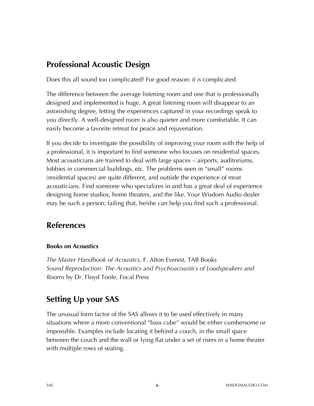### **Professional Acoustic Design**

Does this all sound too complicated? For good reason: it *is* complicated.

The difference between the average listening room and one that is professionally designed and implemented is huge. A great listening room will disappear to an astonishing degree, letting the experiences captured in your recordings speak to you directly. A well-designed room is also quieter and more comfortable. It can easily become a favorite retreat for peace and rejuvenation.

If you decide to investigate the possibility of improving your room with the help of a professional, it is important to find someone who focuses on residential spaces. Most acousticians are trained to deal with large spaces – airports, auditoriums, lobbies in commercial buildings, etc. The problems seen in "small" rooms (residential spaces) are quite different, and outside the experience of most acousticians. Find someone who specializes in and has a great deal of experience designing home studios, home theaters, and the like. Your Wisdom Audio dealer may be such a person; failing that, he/she can help you find such a professional.

### **References**

#### **Books on Acoustics**

*The Master Handbook of Acoustics,* F. Alton Everest, TAB Books *Sound Reproduction: The Acoustics and Psychoacoustics of Loudspeakers and Rooms* by Dr. Floyd Toole, Focal Press

# **Setting Up your SAS**

The unusual form factor of the SAS allows it to be used effectively in many situations where a more conventional "bass cube" would be either cumbersome or impossible. Examples include locating it behind a couch, in the small space between the couch and the wall or lying flat under a set of risers in a home theater with multiple rows of seating.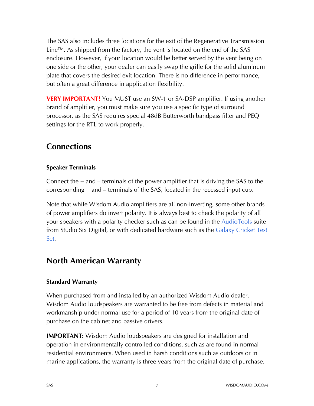The SAS also includes three locations for the exit of the Regenerative Transmission Line<sup>TM</sup>. As shipped from the factory, the vent is located on the end of the SAS enclosure. However, if your location would be better served by the vent being on one side or the other, your dealer can easily swap the grille for the solid aluminum plate that covers the desired exit location. There is no difference in performance, but often a great difference in application flexibility.

**VERY IMPORTANT!** You MUST use an SW-1 or SA-DSP amplifier. If using another brand of amplifier, you must make sure you use a specific type of surround processor, as the SAS requires special 48dB Butterworth bandpass filter and PEQ settings for the RTL to work properly.

### **Connections**

#### **Speaker Terminals**

Connect the  $+$  and  $-$  terminals of the power amplifier that is driving the SAS to the corresponding + and – terminals of the SAS, located in the recessed input cup.

Note that while Wisdom Audio amplifiers are all non-inverting, some other brands of power amplifiers do invert polarity. It is always best to check the polarity of all your speakers with a polarity checker such as can be found in the AudioTools suite from Studio Six Digital, or with dedicated hardware such as the Galaxy Cricket Test Set.

### **North American Warranty**

#### **Standard Warranty**

When purchased from and installed by an authorized Wisdom Audio dealer, Wisdom Audio loudspeakers are warranted to be free from defects in material and workmanship under normal use for a period of 10 years from the original date of purchase on the cabinet and passive drivers.

**IMPORTANT:** Wisdom Audio loudspeakers are designed for installation and operation in environmentally controlled conditions, such as are found in normal residential environments. When used in harsh conditions such as outdoors or in marine applications, the warranty is three years from the original date of purchase.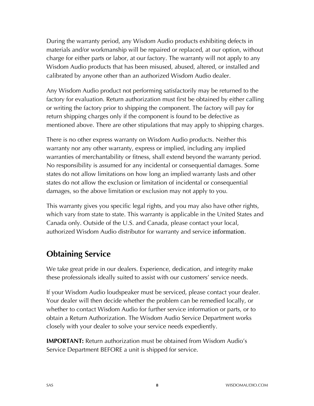During the warranty period, any Wisdom Audio products exhibiting defects in materials and/or workmanship will be repaired or replaced, at our option, without charge for either parts or labor, at our factory. The warranty will not apply to any Wisdom Audio products that has been misused, abused, altered, or installed and calibrated by anyone other than an authorized Wisdom Audio dealer.

Any Wisdom Audio product not performing satisfactorily may be returned to the factory for evaluation. Return authorization must first be obtained by either calling or writing the factory prior to shipping the component. The factory will pay for return shipping charges only if the component is found to be defective as mentioned above. There are other stipulations that may apply to shipping charges.

There is no other express warranty on Wisdom Audio products. Neither this warranty nor any other warranty, express or implied, including any implied warranties of merchantability or fitness, shall extend beyond the warranty period. No responsibility is assumed for any incidental or consequential damages. Some states do not allow limitations on how long an implied warranty lasts and other states do not allow the exclusion or limitation of incidental or consequential damages, so the above limitation or exclusion may not apply to you.

This warranty gives you specific legal rights, and you may also have other rights, which vary from state to state. This warranty is applicable in the United States and Canada only. Outside of the U.S. and Canada, please contact your local, authorized Wisdom Audio distributor for warranty and service information.

# **Obtaining Service**

We take great pride in our dealers. Experience, dedication, and integrity make these professionals ideally suited to assist with our customers' service needs.

If your Wisdom Audio loudspeaker must be serviced, please contact your dealer. Your dealer will then decide whether the problem can be remedied locally, or whether to contact Wisdom Audio for further service information or parts, or to obtain a Return Authorization. The Wisdom Audio Service Department works closely with your dealer to solve your service needs expediently.

**IMPORTANT:** Return authorization must be obtained from Wisdom Audio's Service Department BEFORE a unit is shipped for service.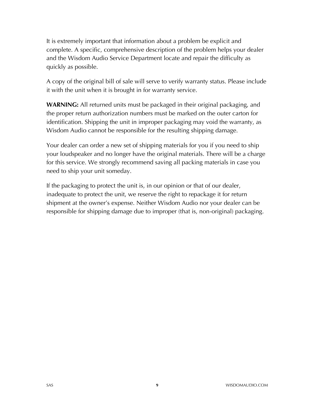It is extremely important that information about a problem be explicit and complete. A specific, comprehensive description of the problem helps your dealer and the Wisdom Audio Service Department locate and repair the difficulty as quickly as possible.

A copy of the original bill of sale will serve to verify warranty status. Please include it with the unit when it is brought in for warranty service.

**WARNING:** All returned units must be packaged in their original packaging, and the proper return authorization numbers must be marked on the outer carton for identification. Shipping the unit in improper packaging may void the warranty, as Wisdom Audio cannot be responsible for the resulting shipping damage.

Your dealer can order a new set of shipping materials for you if you need to ship your loudspeaker and no longer have the original materials. There will be a charge for this service. We strongly recommend saving all packing materials in case you need to ship your unit someday.

If the packaging to protect the unit is, in our opinion or that of our dealer, inadequate to protect the unit, we reserve the right to repackage it for return shipment at the owner's expense. Neither Wisdom Audio nor your dealer can be responsible for shipping damage due to improper (that is, non-original) packaging.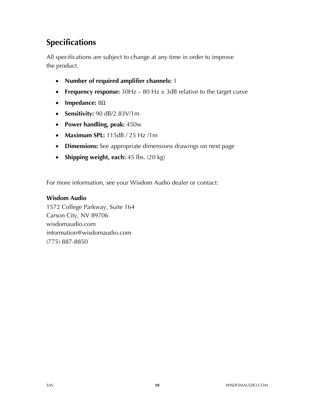# **Specifications**

All specifications are subject to change at any time in order to improve the product.

- **Number of required amplifier channels:** 1
- **Frequency response:**  $30Hz 80 Hz \pm 3dB$  relative to the target curve
- **Impedance:** 8Ω
- **Sensitivity:** 90 dB/2.83V/1m
- **Power handling, peak:** 450w
- **Maximum SPL:** 115dB / 25 Hz /1m
- **Dimensions:** See appropriate dimensions drawings on next page
- **Shipping weight, each:** 45 lbs. (20 kg)

For more information, see your Wisdom Audio dealer or contact:

#### **Wisdom Audio**

1572 College Parkway, Suite 164 Carson City, NV 89706 wisdomaudio.com information@wisdomaudio.com (775) 887-8850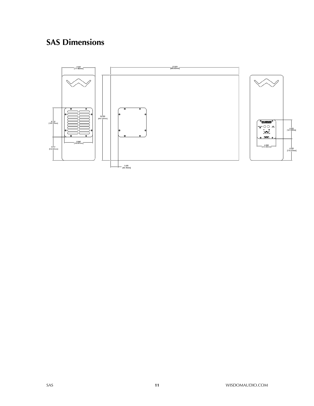# **SAS Dimensions**